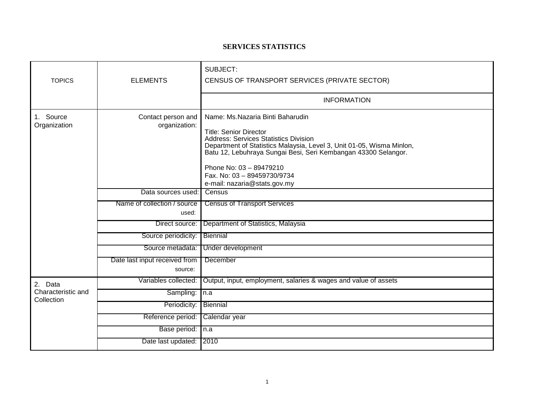## **SERVICES STATISTICS**

| <b>TOPICS</b>                               | <b>ELEMENTS</b>                          | SUBJECT:<br>CENSUS OF TRANSPORT SERVICES (PRIVATE SECTOR)                                                                                                                                                                                                                                                                                              |
|---------------------------------------------|------------------------------------------|--------------------------------------------------------------------------------------------------------------------------------------------------------------------------------------------------------------------------------------------------------------------------------------------------------------------------------------------------------|
|                                             |                                          | <b>INFORMATION</b>                                                                                                                                                                                                                                                                                                                                     |
| Source<br>1.<br>Organization                | Contact person and<br>organization:      | Name: Ms.Nazaria Binti Baharudin<br><b>Title: Senior Director</b><br><b>Address: Services Statistics Division</b><br>Department of Statistics Malaysia, Level 3, Unit 01-05, Wisma Minlon,<br>Batu 12, Lebuhraya Sungai Besi, Seri Kembangan 43300 Selangor.<br>Phone No: 03 - 89479210<br>Fax. No: 03 - 89459730/9734<br>e-mail: nazaria@stats.gov.my |
|                                             | Data sources used:                       | Census                                                                                                                                                                                                                                                                                                                                                 |
|                                             | Name of collection / source<br>used:     | <b>Census of Transport Services</b>                                                                                                                                                                                                                                                                                                                    |
|                                             | Direct source:                           | Department of Statistics, Malaysia                                                                                                                                                                                                                                                                                                                     |
|                                             | Source periodicity:                      | <b>Biennial</b>                                                                                                                                                                                                                                                                                                                                        |
|                                             | Source metadata:                         | Under development                                                                                                                                                                                                                                                                                                                                      |
|                                             | Date last input received from<br>source: | December                                                                                                                                                                                                                                                                                                                                               |
| 2. Data<br>Characteristic and<br>Collection | Variables collected:                     | Output, input, employment, salaries & wages and value of assets                                                                                                                                                                                                                                                                                        |
|                                             | Sampling:                                | In.a                                                                                                                                                                                                                                                                                                                                                   |
|                                             | Periodicity:                             | Biennial                                                                                                                                                                                                                                                                                                                                               |
|                                             | Reference period:                        | Calendar year                                                                                                                                                                                                                                                                                                                                          |
|                                             | Base period: n.a                         |                                                                                                                                                                                                                                                                                                                                                        |
|                                             | Date last updated:                       | 2010                                                                                                                                                                                                                                                                                                                                                   |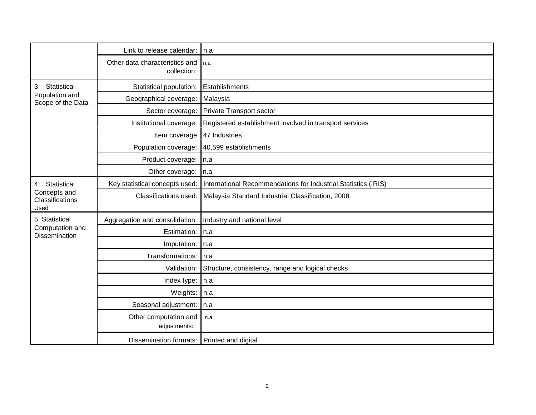|                                                           | Link to release calendar:                     | l n.a                                                          |
|-----------------------------------------------------------|-----------------------------------------------|----------------------------------------------------------------|
|                                                           | Other data characteristics and<br>collection: | l n.a                                                          |
| Statistical<br>3.<br>Population and<br>Scope of the Data  | Statistical population:                       | Establishments                                                 |
|                                                           | Geographical coverage:                        | Malaysia                                                       |
|                                                           | Sector coverage:                              | <b>Private Transport sector</b>                                |
|                                                           | Institutional coverage:                       | Registered establishment involved in transport services        |
|                                                           | Item coverage                                 | 47 Industries                                                  |
|                                                           | Population coverage:                          | 40,599 establishments                                          |
|                                                           | Product coverage:                             | In.a                                                           |
|                                                           | Other coverage:                               | $\mathsf{In}.\mathsf{a}$                                       |
| 4. Statistical<br>Concepts and<br>Classifications<br>Used | Key statistical concepts used:                | International Recommendations for Industrial Statistics (IRIS) |
|                                                           | Classifications used:                         | Malaysia Standard Industrial Classification, 2008              |
| 5. Statistical                                            | Aggregation and consolidation:                | Industry and national level                                    |
| Computation and<br>Dissemination                          | Estimation:                                   | In.a                                                           |
|                                                           | Imputation:                                   | n.a                                                            |
|                                                           | Transformations:                              | n.a                                                            |
|                                                           | Validation:                                   | Structure, consistency, range and logical checks               |
|                                                           | Index type:                                   | n.a                                                            |
|                                                           | Weights:                                      | n.a                                                            |
|                                                           | Seasonal adjustment:                          | In.a                                                           |
|                                                           | Other computation and<br>adjustments:         | n.a                                                            |
|                                                           | Dissemination formats: Printed and digital    |                                                                |